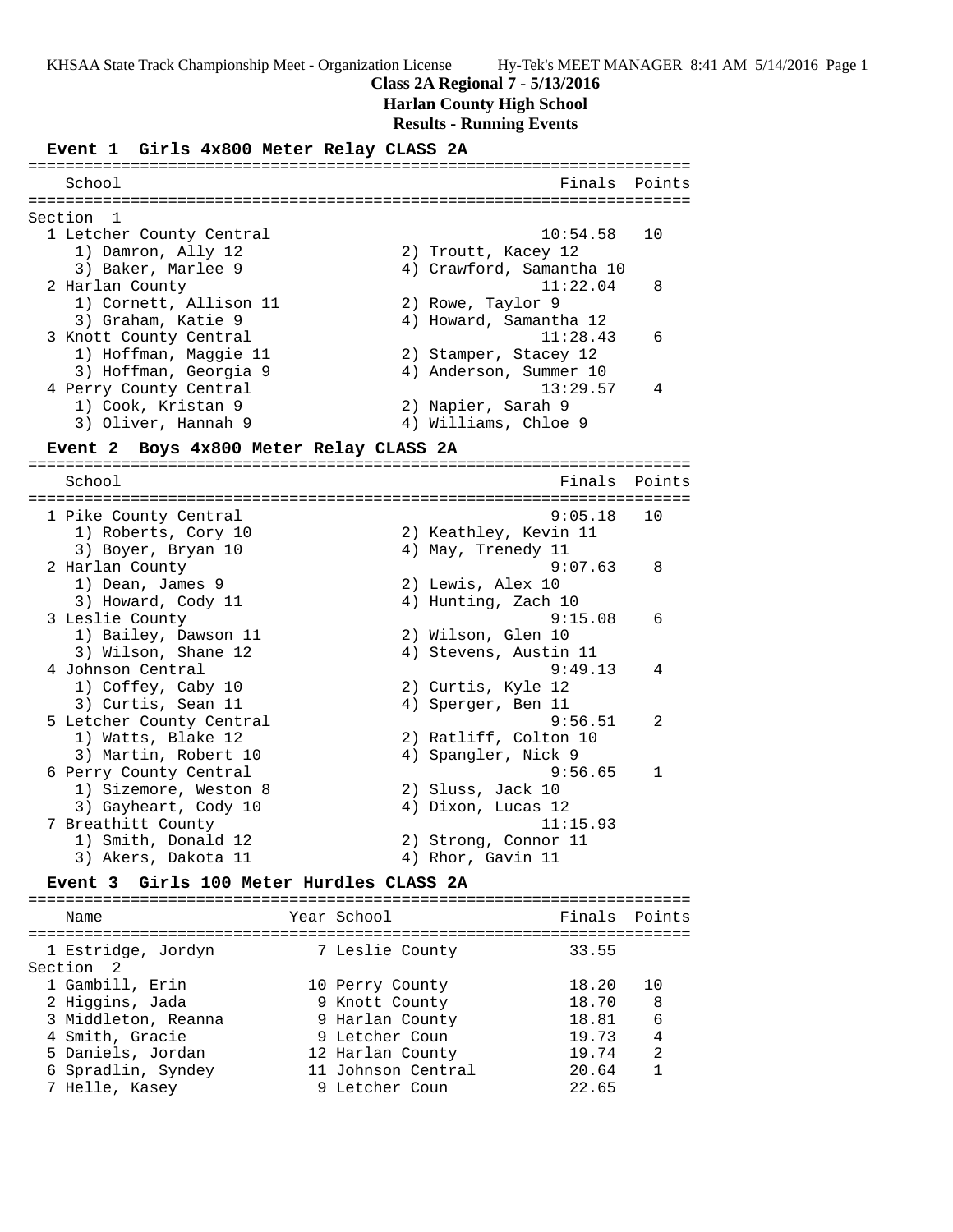### **Class 2A Regional 7 - 5/13/2016**

## **Harlan County High School**

## **Results - Running Events**

#### **Event 1 Girls 4x800 Meter Relay CLASS 2A**

| School                   | Finals Points            |
|--------------------------|--------------------------|
| Section 1                |                          |
| 1 Letcher County Central | $10:54.58$ 10            |
| 1) Damron, Ally 12       | 2) Troutt, Kacey 12      |
| 3) Baker, Marlee 9       | 4) Crawford, Samantha 10 |
| 2 Harlan County          | 8<br>11:22.04            |
| 1) Cornett, Allison 11   | 2) Rowe, Taylor 9        |
| 3) Graham, Katie 9       | 4) Howard, Samantha 12   |
| 3 Knott County Central   | $\sqrt{6}$<br>11:28.43   |
| 1) Hoffman, Maggie 11    | 2) Stamper, Stacey 12    |
| 3) Hoffman, Georgia 9    | 4) Anderson, Summer 10   |
| 4 Perry County Central   | 13:29.57                 |
| 1) Cook, Kristan 9       | 2) Napier, Sarah 9       |
| 3) Oliver, Hannah 9      | 4) Williams, Chloe 9     |

### **Event 2 Boys 4x800 Meter Relay CLASS 2A**

======================================================================= Finals Points ======================================================================= 1 Pike County Central 1) Roberts, Cory 10 2) Keathley, Kevin 11 3) Boyer, Bryan 10 (4) May, Trenedy 11 2 Harlan County 9:07.63 8 1) Dean, James 9 2) Lewis, Alex 10 3) Howard, Cody 11 (4) Hunting, Zach 10 3 Leslie County 9:15.08 6 1) Bailey, Dawson 11 2) Wilson, Glen 10<br>3) Wilson, Shane 12 4) Stevens, Austin 11 3) Wilson, Shane 12 4) Stevens, Austin 11 4 Johnson Central 9:49.13 4 1) Coffey, Caby 10 2) Curtis, Kyle 12 3) Curtis, Sean 11 (4) Sperger, Ben 11 5 Letcher County Central 9:56.51 2 1) Watts, Blake 12 2) Ratliff, Colton 10 3) Martin, Robert 10 (4) Spangler, Nick 9 6 Perry County Central 9:56.65 1 1) Sizemore, Weston 8 2) Sluss, Jack 10 3) Gayheart, Cody 10 (4) Dixon, Lucas 12 7 Breathitt County 11:15.93 1) Smith, Donald 12 2) Strong, Connor 11 3) Akers, Dakota 11 (4) Rhor, Gavin 11

## **Event 3 Girls 100 Meter Hurdles CLASS 2A**

======================================================================= Name The Year School The Finals Points ======================================================================= 1 Estridge, Jordyn 7 Leslie County 33.55 Section 2 1 Gambill, Erin 10 Perry County 18.20 10 2 Higgins, Jada 9 Knott County 18.70 8 3 Middleton, Reanna 9 Harlan County 18.81 6 4 Smith, Gracie 9 Letcher Coun 19.73 4 5 Daniels, Jordan 12 Harlan County 19.74 2 6 Spradlin, Syndey 11 Johnson Central 20.64 1 7 Helle, Kasey 9 Letcher Coun 22.65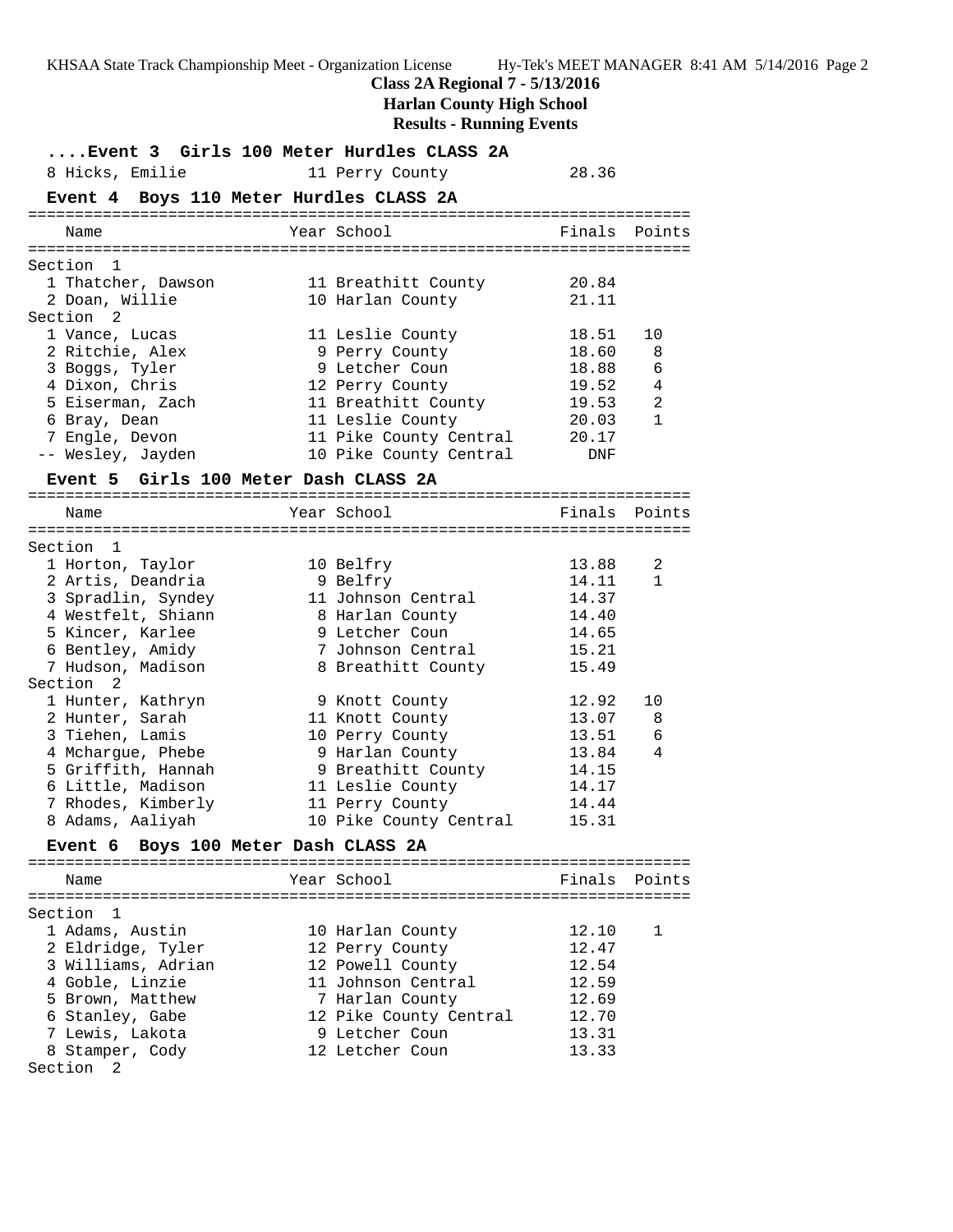# **Class 2A Regional 7 - 5/13/2016**

**Harlan County High School**

| Event 3 Girls 100 Meter Hurdles CLASS 2A                     |                                                                      |                         |              |
|--------------------------------------------------------------|----------------------------------------------------------------------|-------------------------|--------------|
| 8 Hicks, Emilie                                              | 11 Perry County                                                      | 28.36                   |              |
| Event 4 Boys 110 Meter Hurdles CLASS 2A                      |                                                                      |                         |              |
| Name                                                         | Year School                                                          | Finals Points           |              |
| Section 1                                                    |                                                                      |                         |              |
| 1 Thatcher, Dawson<br>2 Doan, Willie<br>Section <sub>2</sub> | 11 Breathitt County<br>10 Harlan County                              | 20.84<br>21.11          |              |
| 1 Vance, Lucas<br>2 Ritchie, Alex                            | 11 Leslie County<br>9 Perry County                                   | 18.51<br>18.60          | 10<br>8      |
| 3 Boggs, Tyler<br>4 Dixon, Chris<br>5 Eiserman, Zach         | 9 Letcher Coun<br>12 Perry County<br>11 Breathitt County             | 18.88<br>19.52<br>19.53 | 6<br>4<br>2  |
| 6 Bray, Dean<br>7 Engle, Devon<br>-- Wesley, Jayden          | 11 Leslie County<br>11 Pike County Central<br>10 Pike County Central | 20.03<br>20.17<br>DNF   | $\mathbf{1}$ |
|                                                              |                                                                      |                         |              |
| Event 5 Girls 100 Meter Dash CLASS 2A                        |                                                                      |                         |              |
| Name                                                         | Year School                                                          | Finals Points           |              |
|                                                              |                                                                      |                         |              |
| Section 1<br>1 Horton, Taylor                                | 10 Belfry                                                            | 13.88                   | 2            |
| 2 Artis, Deandria                                            | 9 Belfry                                                             | 14.11                   | 1            |
| 3 Spradlin, Syndey                                           | 11 Johnson Central                                                   | 14.37                   |              |
| 4 Westfelt, Shiann                                           | 8 Harlan County                                                      | 14.40                   |              |
| 5 Kincer, Karlee                                             | 9 Letcher Coun                                                       | 14.65                   |              |
| 6 Bentley, Amidy                                             | 7 Johnson Central                                                    | 15.21                   |              |
| 7 Hudson, Madison<br>Section <sub>2</sub>                    | 8 Breathitt County                                                   | 15.49                   |              |
| 1 Hunter, Kathryn                                            | 9 Knott County                                                       | 12.92                   | 10           |
| 2 Hunter, Sarah                                              | 11 Knott County                                                      | 13.07                   | 8            |
| 3 Tiehen, Lamis                                              | 10 Perry County                                                      | 13.51                   | 6            |
| 4 Mchargue, Phebe                                            | 9 Harlan County                                                      | 13.84                   | 4            |
| 5 Griffith, Hannah                                           | 9 Breathitt County                                                   | 14.15                   |              |
| 6 Little, Madison                                            | 11 Leslie County                                                     | 14.17                   |              |
| 7 Rhodes, Kimberly                                           | 11 Perry County                                                      | 14.44                   |              |
| 8 Adams, Aaliyah                                             | 10 Pike County Central                                               | 15.31                   |              |
| Boys 100 Meter Dash CLASS 2A<br><b>Event 6</b>               |                                                                      |                         |              |
| Name                                                         | Year School                                                          | Finals                  | Points       |
| Section 1                                                    |                                                                      |                         |              |
| 1 Adams, Austin                                              | 10 Harlan County                                                     | 12.10                   | 1            |
| 2 Eldridge, Tyler                                            | 12 Perry County                                                      | 12.47                   |              |
| 3 Williams, Adrian                                           | 12 Powell County                                                     | 12.54                   |              |
| 4 Goble, Linzie                                              | 11 Johnson Central                                                   | 12.59                   |              |
| 5 Brown, Matthew                                             | 7 Harlan County                                                      | 12.69                   |              |
| 6 Stanley, Gabe                                              | 12 Pike County Central                                               | 12.70                   |              |
| 7 Lewis, Lakota                                              | 9 Letcher Coun                                                       | 13.31                   |              |
| 8 Stamper, Cody                                              | 12 Letcher Coun                                                      | 13.33                   |              |
| Section<br>2                                                 |                                                                      |                         |              |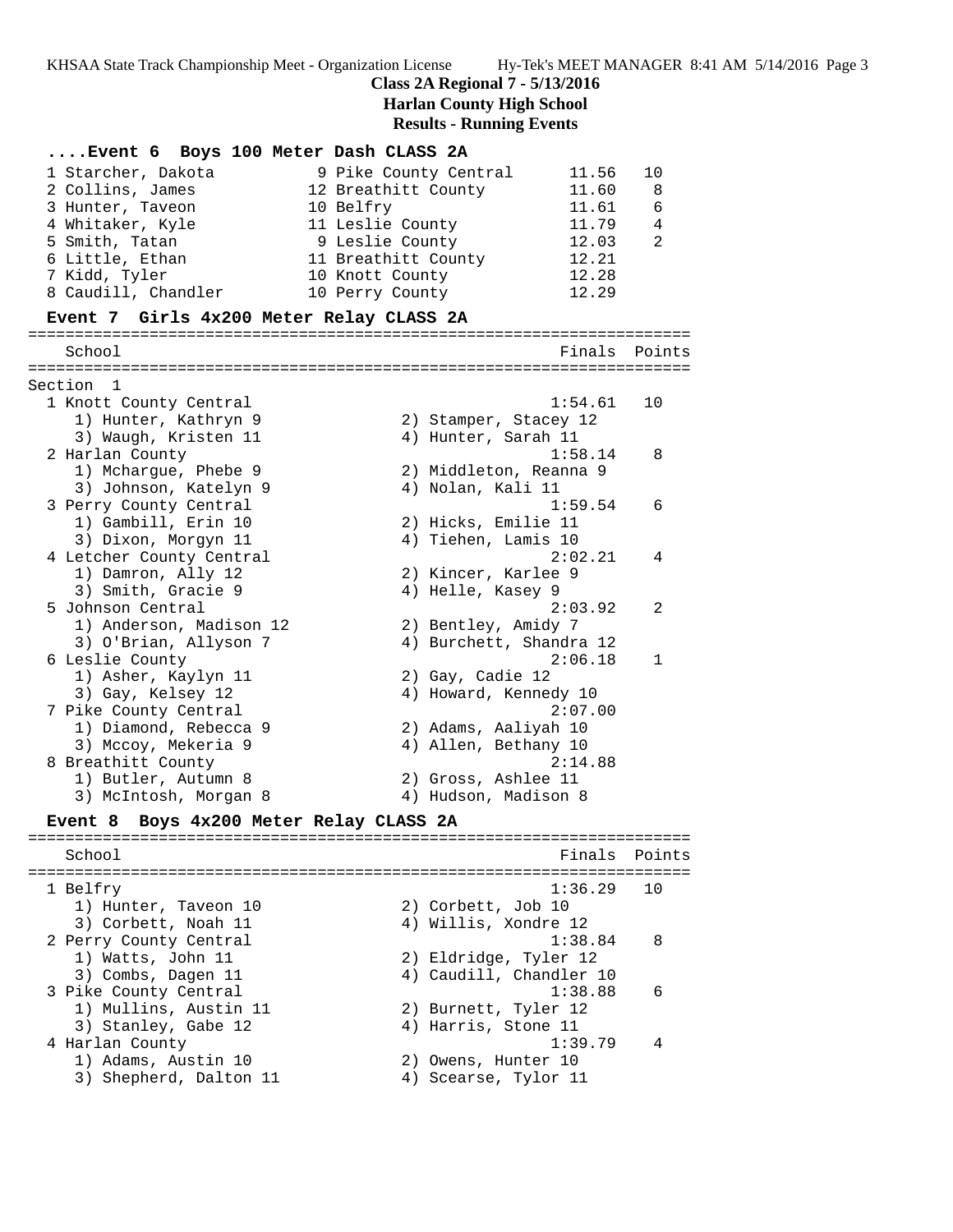### **Class 2A Regional 7 - 5/13/2016**

**Harlan County High School**

**Results - Running Events**

## **....Event 6 Boys 100 Meter Dash CLASS 2A** 1 Starcher, Dakota 9 Pike County Central 11.56 10 2 Collins, James 12 Breathitt County 11.60 8 3 Hunter, Taveon 10 Belfry 11.61 6

| 4 Whitaker, Kyle    | 11 Leslie County    | 11.79<br>4  |
|---------------------|---------------------|-------------|
| 5 Smith, Tatan      | 9 Leslie County     | 12.03<br>-2 |
| 6 Little, Ethan     | 11 Breathitt County | 12.21       |
| 7 Kidd, Tyler       | 10 Knott County     | 12.28       |
| 8 Caudill, Chandler | 10 Perry County     | 12.29       |

### **Event 7 Girls 4x200 Meter Relay CLASS 2A**

======================================================================= School **Finals Points** ======================================================================= Section 1 1 Knott County Central 1:54.61 10 1) Hunter, Kathryn 9 2) Stamper, Stacey 12 3) Waugh, Kristen 11 (4) Hunter, Sarah 11 2 Harlan County 1:58.14 8 1) Mchargue, Phebe 9 2) Middleton, Reanna 9 3) Johnson, Katelyn 9  $\hskip1cm \hskip1cm 4$ ) Nolan, Kali 11 3 Perry County Central 1:59.54 6 1) Gambill, Erin 10 2) Hicks, Emilie 11 3) Dixon, Morgyn 11 4) Tiehen, Lamis 10 4 Letcher County Central 2:02.21 4 1) Damron, Ally 12 2) Kincer, Karlee 9 3) Smith, Gracie 9 4) Helle, Kasey 9 5 Johnson Central 2:03.92 2 1) Anderson, Madison 12 3) Bentley, Amidy 7 3) O'Brian, Allyson 7 4) Burchett, Shandra 12 6 Leslie County 2:06.18 1 1) Asher, Kaylyn 11 2) Gay, Cadie 12 3) Gay, Kelsey 12 4) Howard, Kennedy 10 7 Pike County Central 2:07.00 1) Diamond, Rebecca 9 2) Adams, Aaliyah 10 3) Mccoy, Mekeria 9 4) Allen, Bethany 10 8 Breathitt County 2:14.88 1) Butler, Autumn 8 2) Gross, Ashlee 11 3) McIntosh, Morgan 8  $\hskip 1.5cm 4$  Hudson, Madison 8 **Event 8 Boys 4x200 Meter Relay CLASS 2A** ======================================================================= School **Finals** Points ======================================================================= 1 Belfry 1:36.29 10 1) Hunter, Taveon 10 2) Corbett, Job 10 3) Corbett, Noah 11 (4) Willis, Xondre 12 2 Perry County Central 2 2 2 2 2 38.84 8 1) Watts, John 11 2) Eldridge, Tyler 12 3) Combs, Dagen 11 4) Caudill, Chandler 10 3 Pike County Central 1:38.88 6 1) Mullins, Austin 11 (2) Burnett, Tyler 12 3) Stanley, Gabe 12 (4) Harris, Stone 11 4 Harlan County 1:39.79 4 1) Adams, Austin 10 2) Owens, Hunter 10 3) Shepherd, Dalton 11 (4) Scearse, Tylor 11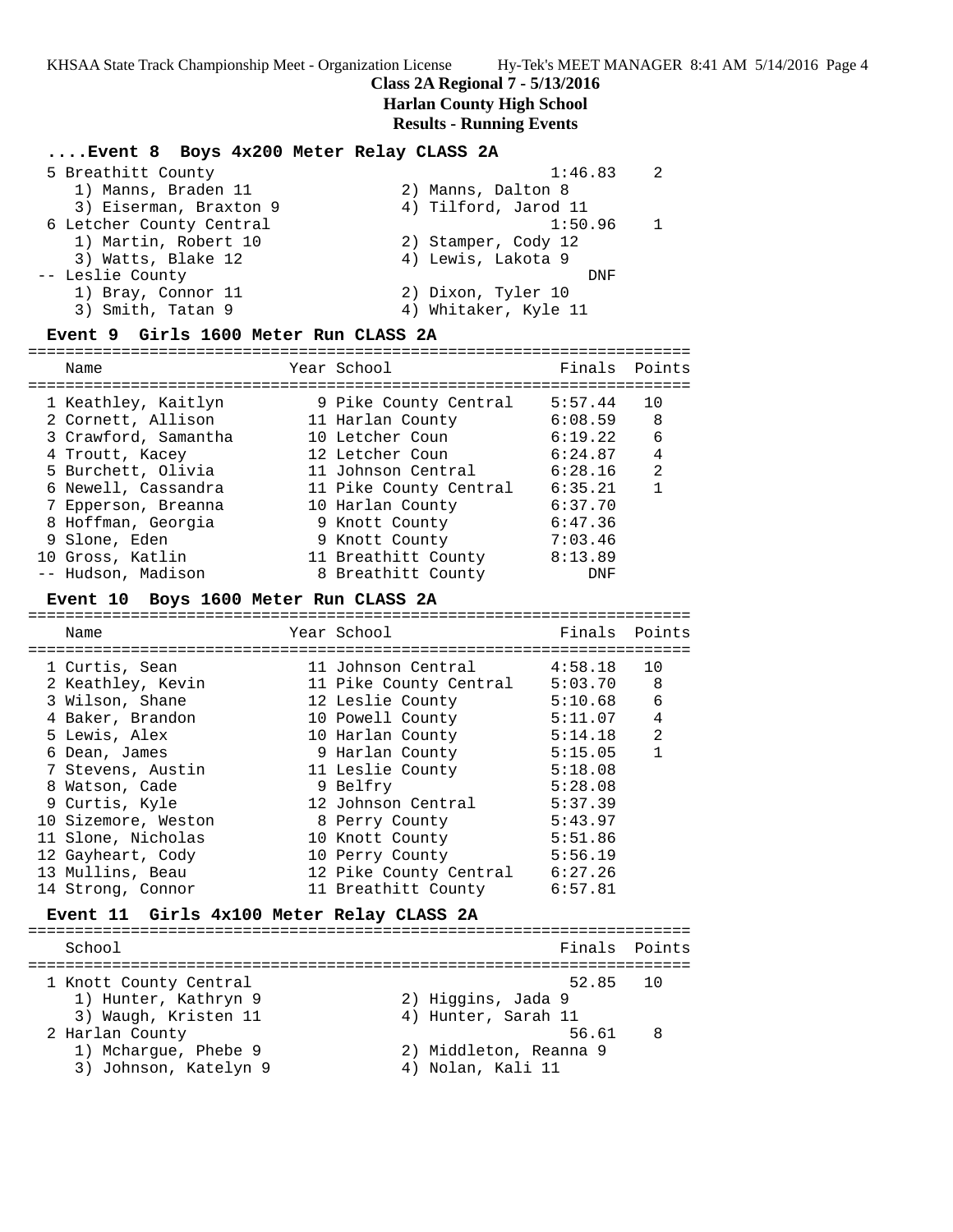### **Class 2A Regional 7 - 5/13/2016**

## **Harlan County High School**

### **Results - Running Events**

## **....Event 8 Boys 4x200 Meter Relay CLASS 2A**

| 5 Breathitt County       |                        | 1:46.83              | -2. |
|--------------------------|------------------------|----------------------|-----|
| 1) Manns, Braden 11      |                        | 2) Manns, Dalton 8   |     |
|                          | 3) Eiserman, Braxton 9 | 4) Tilford, Jarod 11 |     |
| 6 Letcher County Central |                        | 1:50.96              |     |
| 1) Martin, Robert 10     |                        | 2) Stamper, Cody 12  |     |
| 3) Watts, Blake 12       |                        | 4) Lewis, Lakota 9   |     |
| -- Leslie County         |                        | DNF                  |     |
| 1) Bray, Connor 11       |                        | 2) Dixon, Tyler 10   |     |
| 3) Smith, Tatan 9        |                        | 4) Whitaker, Kyle 11 |     |
|                          |                        |                      |     |

### **Event 9 Girls 1600 Meter Run CLASS 2A**

======================================================================= Name The School Team School (Finals Points ======================================================================= 1 Keathley, Kaitlyn 9 Pike County Central 5:57.44 10 2 Cornett, Allison 11 Harlan County 6:08.59 8 3 Crawford, Samantha 10 Letcher Coun 6:19.22 6 4 Troutt, Kacey 12 Letcher Coun 6:24.87 4 5 Burchett, Olivia 11 Johnson Central 6:28.16 2 6 Newell, Cassandra 11 Pike County Central 6:35.21 1 7 Epperson, Breanna 10 Harlan County 6:37.70 8 Hoffman, Georgia 9 Knott County 6:47.36 9 Slone, Eden 9 Knott County 7:03.46 10 Gross, Katlin 11 Breathitt County 8:13.89 -- Hudson, Madison 8 Breathitt County DNF

### **Event 10 Boys 1600 Meter Run CLASS 2A**

======================================================================= Name Year School Finals Points ======================================================================= 1 Curtis, Sean 11 Johnson Central 4:58.18 10 2 Keathley, Kevin 11 Pike County Central 5:03.70 8 3 Wilson, Shane 12 Leslie County 5:10.68 6 4 Baker, Brandon 10 Powell County 5:11.07 4 5 Lewis, Alex 10 Harlan County 5:14.18 2 6 Dean, James 9 Harlan County 5:15.05 1 7 Stevens, Austin 11 Leslie County 5:18.08 8 Watson, Cade 9 Belfry 5:28.08 9 Curtis, Kyle 12 Johnson Central 5:37.39 10 Sizemore, Weston 8 Perry County 5:43.97 11 Slone, Nicholas 10 Knott County 5:51.86 12 Gayheart, Cody 10 Perry County 5:56.19 13 Mullins, Beau 12 Pike County Central 6:27.26 14 Strong, Connor 11 Breathitt County 6:57.81

## **Event 11 Girls 4x100 Meter Relay CLASS 2A**

======================================================================= School Finals Points ======================================================================= 1 Knott County Central 1) Hunter, Kathryn 9 2) Higgins, Jada 9 3) Waugh, Kristen 11 (4) Hunter, Sarah 11 2 Harlan County 56.61 8 1) Mchargue, Phebe 9 2) Middleton, Reanna 9 3) Johnson, Katelyn 9  $\hskip1cm \hskip1cm 4$ ) Nolan, Kali 11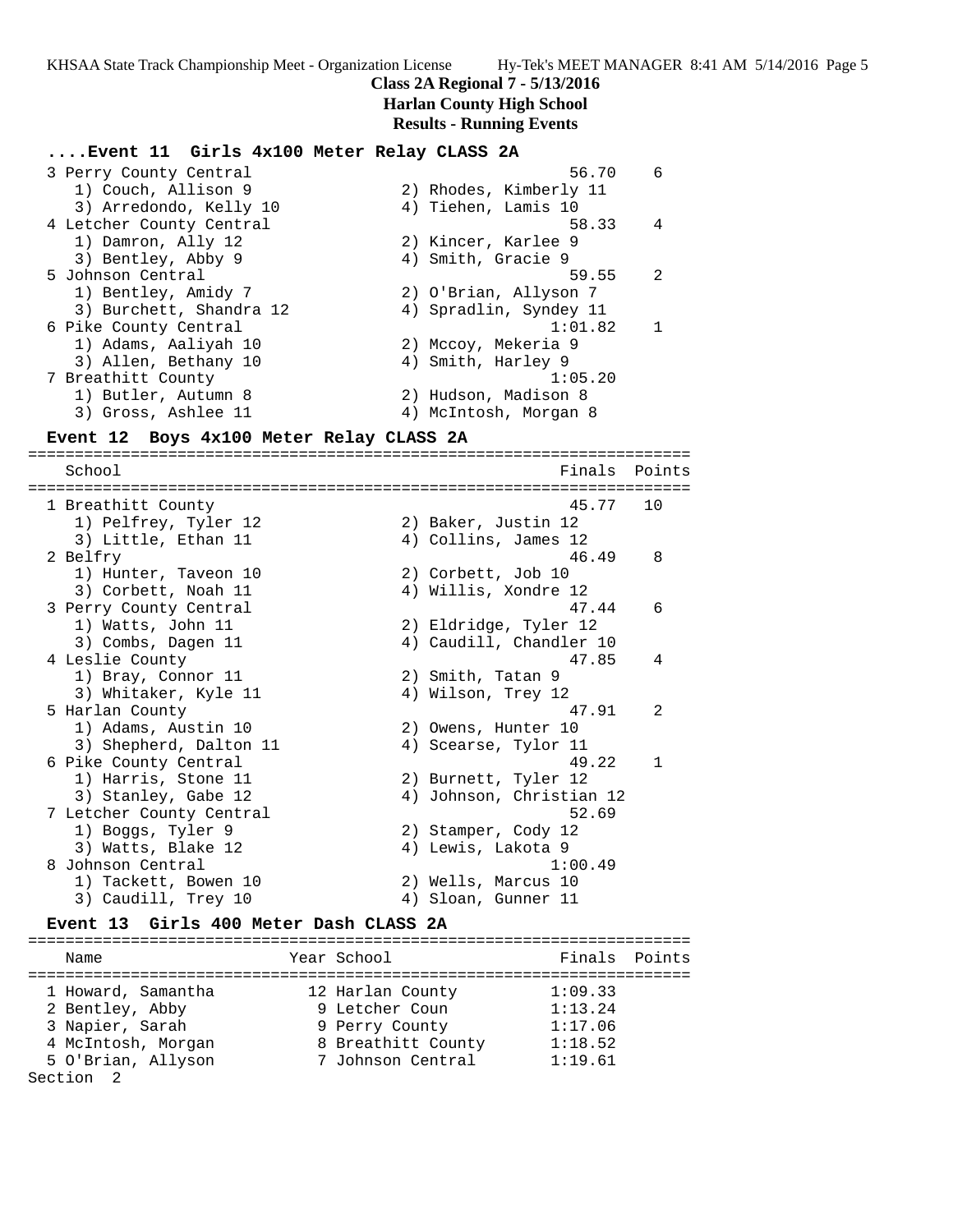## **Class 2A Regional 7 - 5/13/2016**

# **Harlan County High School**

**Results - Running Events**

## 3 Perry County Central 56.70 6 1) Couch, Allison 9 2) Rhodes, Kimberly 11 3) Arredondo, Kelly 10 4) Tiehen, Lamis 10 4 Letcher County Central 58.33 4

**....Event 11 Girls 4x100 Meter Relay CLASS 2A**

| 1) Damron, Ally 12      | 2) Kincer, Karlee 9       |
|-------------------------|---------------------------|
| 3) Bentley, Abby 9      | 4) Smith, Gracie 9        |
| 5 Johnson Central       | - 2<br>59.55              |
| 1) Bentley, Amidy 7     | 2) O'Brian, Allyson 7     |
| 3) Burchett, Shandra 12 | 4) Spradlin, Syndey 11    |
| 6 Pike County Central   | 1:01.82<br>$\overline{1}$ |
| 1) Adams, Aaliyah 10    | 2) Mccoy, Mekeria 9       |
| 3) Allen, Bethany 10    | 4) Smith, Harley 9        |
| 7 Breathitt County      | 1:05.20                   |
| 1) Butler, Autumn 8     | 2) Hudson, Madison 8      |
| 3) Gross, Ashlee 11     | 4) McIntosh, Morgan 8     |

### **Event 12 Boys 4x100 Meter Relay CLASS 2A**

======================================================================= School Finals Points ======================================================================= 1 Breathitt County 45.77 10 1) Pelfrey, Tyler 12 2) Baker, Justin 12 3) Little, Ethan 11 (4) Collins, James 12 2 Belfry 2 and 2 and 2 and 2 and 2 and 2 and 2 and 2 and 2 and 2 and 2 and 2 and 2 and 2 and 2 and 2 and 2 and 2 and 2 and 2 and 2 and 2 and 2 and 2 and 2 and 2 and 2 and 2 and 2 and 2 and 2 and 2 and 2 and 2 and 2 and 2 a 1) Hunter, Taveon 10 2) Corbett, Job 10 3) Corbett, Noah 11 4) Willis, Xondre 12 3 Perry County Central 47.44 6 1) Watts, John 11 2) Eldridge, Tyler 12 3) Combs, Dagen 11 4) Caudill, Chandler 10 4 Leslie County 47.85 4 1) Bray, Connor 11 2) Smith, Tatan 9 3) Whitaker, Kyle 11  $\hskip1cm 4$ ) Wilson, Trey 12 5 Harlan County 47.91 2 1) Adams, Austin 10 2) Owens, Hunter 10 3) Shepherd, Dalton 11  $\qquad \qquad$  4) Scearse, Tylor 11 6 Pike County Central 49.22 1 1) Harris, Stone 11 2) Burnett, Tyler 12 3) Stanley, Gabe 12 4) Johnson, Christian 12 7 Letcher County Central 52.69 1) Boggs, Tyler 9 2) Stamper, Cody 12 3) Watts, Blake 12 (4) Lewis, Lakota 9 8 Johnson Central 2008 1:00.49 1) Tackett, Bowen 10 2) Wells, Marcus 10 3) Caudill, Trey 10 4) Sloan, Gunner 11

#### **Event 13 Girls 400 Meter Dash CLASS 2A**

======================================================================= Name **Year School Finals** Points ======================================================================= 1 Howard, Samantha 12 Harlan County 1:09.33 2 Bentley, Abby 9 Letcher Coun 1:13.24 3 Napier, Sarah 9 Perry County 1:17.06 4 McIntosh, Morgan 8 Breathitt County 1:18.52 5 O'Brian, Allyson 7 Johnson Central 1:19.61 Section 2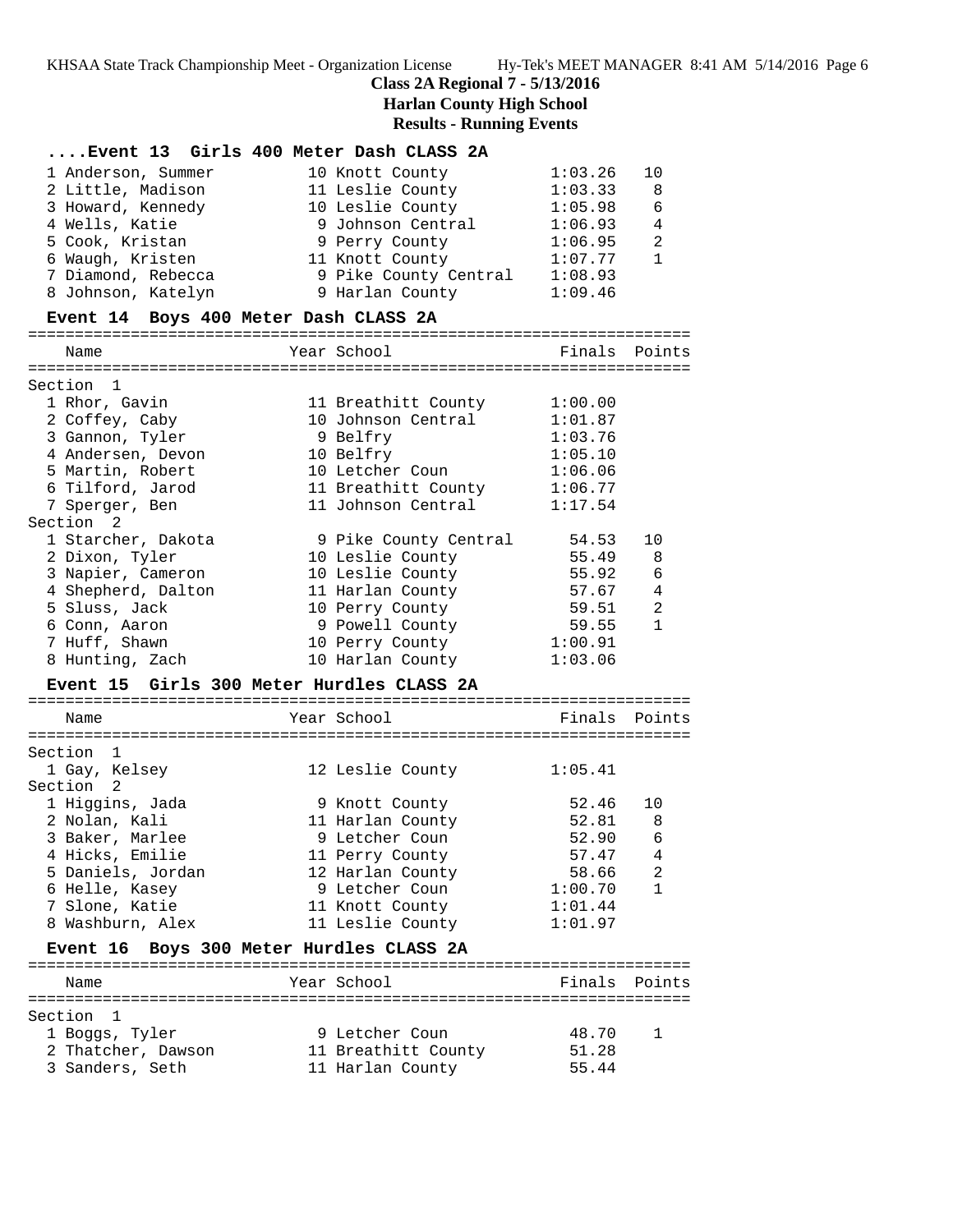# **Class 2A Regional 7 - 5/13/2016**

# **Harlan County High School**

| Event 13 Girls 400 Meter Dash CLASS 2A    |                                    |                    |                   |
|-------------------------------------------|------------------------------------|--------------------|-------------------|
| 1 Anderson, Summer                        | 10 Knott County                    | 1:03.26            | 10                |
| 2 Little, Madison                         | 11 Leslie County                   | 1:03.33            | 8                 |
| 3 Howard, Kennedy                         | 10 Leslie County                   | 1:05.98            | 6                 |
| 4 Wells, Katie                            | 9 Johnson Central                  | 1:06.93            | 4                 |
| 5 Cook, Kristan                           | 9 Perry County                     | 1:06.95            | 2                 |
| 6 Waugh, Kristen                          | 11 Knott County                    | 1:07.77            | $\mathbf{1}$      |
| 7 Diamond, Rebecca                        | 9 Pike County Central              | 1:08.93            |                   |
| 8 Johnson, Katelyn                        | 9 Harlan County                    | 1:09.46            |                   |
| Event 14 Boys 400 Meter Dash CLASS 2A     |                                    |                    |                   |
| Name                                      | Year School                        | Finals             | Points            |
| Section 1                                 |                                    |                    |                   |
| 1 Rhor, Gavin                             | 11 Breathitt County                | 1:00.00            |                   |
| 2 Coffey, Caby                            | 10 Johnson Central                 | 1:01.87            |                   |
| 3 Gannon, Tyler                           | 9 Belfry                           | 1:03.76            |                   |
| 4 Andersen, Devon                         | 10 Belfry                          | 1:05.10            |                   |
| 5 Martin, Robert                          | 10 Letcher Coun                    | 1:06.06            |                   |
| 6 Tilford, Jarod                          | 11 Breathitt County                | 1:06.77            |                   |
| 7 Sperger, Ben                            | 11 Johnson Central                 | 1:17.54            |                   |
| Section 2                                 |                                    |                    |                   |
| 1 Starcher, Dakota                        | 9 Pike County Central              | 54.53              | 10                |
| 2 Dixon, Tyler                            | 10 Leslie County                   | 55.49              | 8                 |
| 3 Napier, Cameron                         | 10 Leslie County                   | 55.92              | $\epsilon$        |
| 4 Shepherd, Dalton                        | 11 Harlan County                   | 57.67              | $\overline{4}$    |
| 5 Sluss, Jack                             | 10 Perry County                    | 59.51              | 2                 |
| 6 Conn, Aaron                             | 9 Powell County                    | 59.55              | $\mathbf{1}$      |
| 7 Huff, Shawn                             | 10 Perry County                    | 1:00.91            |                   |
| 8 Hunting, Zach                           | 10 Harlan County                   | 1:03.06            |                   |
| Event 15 Girls 300 Meter Hurdles CLASS 2A |                                    |                    |                   |
|                                           |                                    |                    |                   |
| Name                                      | Year School                        | Finals             | Points            |
|                                           |                                    |                    |                   |
| Section 1                                 |                                    |                    |                   |
| 1 Gay, Kelsey                             | 12 Leslie County                   | 1:05.41            |                   |
| Section 2                                 |                                    |                    |                   |
| 1 Higgins, Jada                           | 9 Knott County                     | 52.46<br>52.81     | 10                |
| 2 Nolan, Kali                             | 11 Harlan County                   |                    | 8                 |
| 3 Baker, Marlee                           | 9 Letcher Coun                     | 52.90              | 6                 |
| 4 Hicks, Emilie                           | 11 Perry County                    | 57.47              | 4                 |
| 5 Daniels, Jordan                         | 12 Harlan County<br>9 Letcher Coun | 58.66              | 2<br>$\mathbf{1}$ |
| 6 Helle, Kasey                            |                                    | 1:00.70            |                   |
| 7 Slone, Katie<br>8 Washburn, Alex        | 11 Knott County                    | 1:01.44<br>1:01.97 |                   |
|                                           | 11 Leslie County                   |                    |                   |
| Event 16 Boys 300 Meter Hurdles CLASS 2A  |                                    |                    |                   |
| Name                                      | Year School                        | Finals             | Points            |
|                                           |                                    |                    |                   |
| Section<br>1                              |                                    |                    |                   |
| 1 Boggs, Tyler                            | 9 Letcher Coun                     | 48.70              | 1                 |
| 2 Thatcher, Dawson                        | 11 Breathitt County                | 51.28              |                   |
| 3 Sanders, Seth                           | 11 Harlan County                   | 55.44              |                   |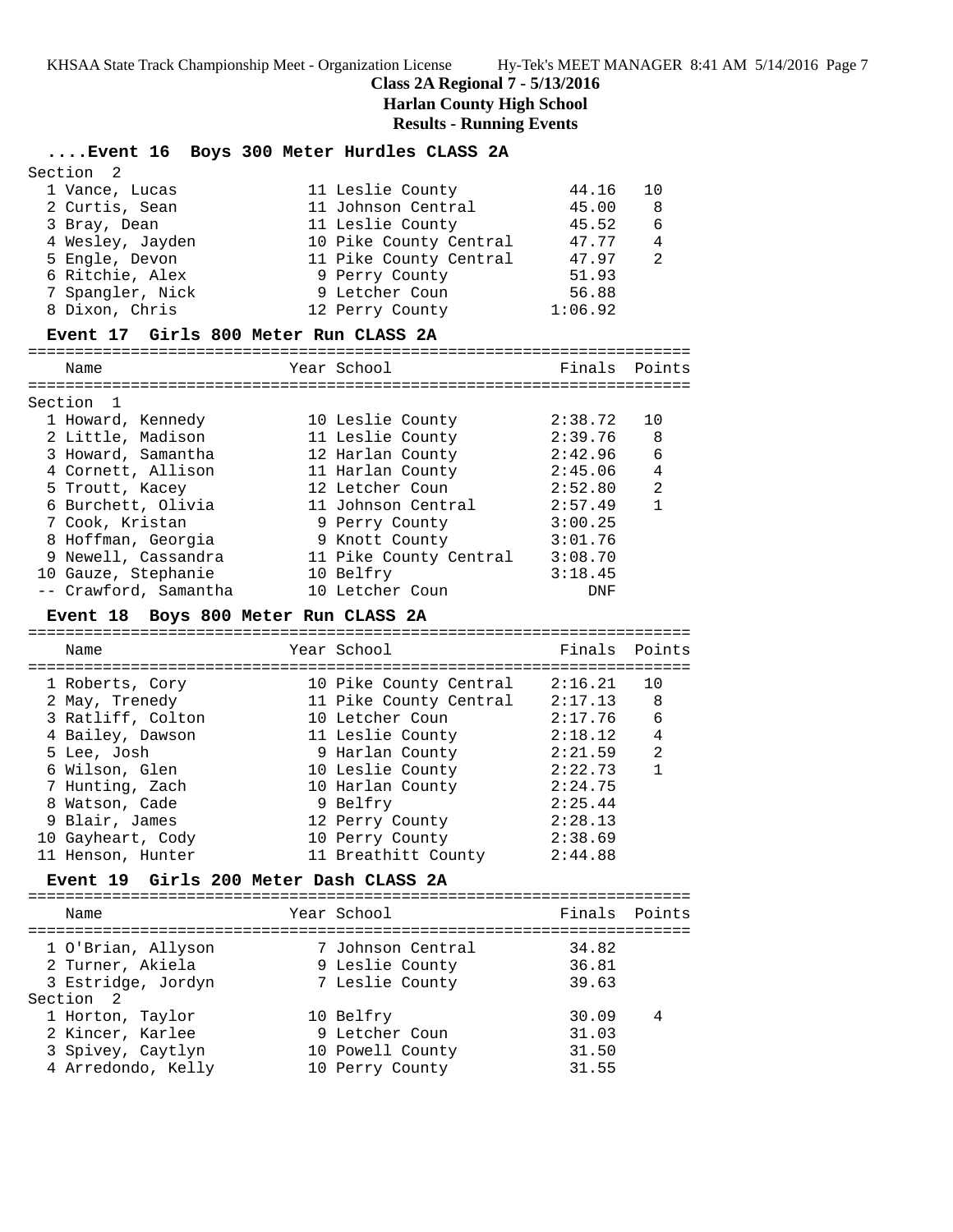$S<sub>oution</sub>$  2

## **Class 2A Regional 7 - 5/13/2016**

**Harlan County High School**

## **Results - Running Events**

## **....Event 16 Boys 300 Meter Hurdles CLASS 2A**

| SECLIUII Z       |                        |         |                |
|------------------|------------------------|---------|----------------|
| 1 Vance, Lucas   | 11 Leslie County       | 44.16   | 10             |
| 2 Curtis, Sean   | 11 Johnson Central     | 45.00   | - 8            |
| 3 Bray, Dean     | 11 Leslie County       | 45.52   | - 6            |
| 4 Wesley, Jayden | 10 Pike County Central | 47.77   | $\overline{4}$ |
| 5 Engle, Devon   | 11 Pike County Central | 47.97   | $\overline{2}$ |
| 6 Ritchie, Alex  | 9 Perry County         | 51.93   |                |
| 7 Spangler, Nick | 9 Letcher Coun         | 56.88   |                |
| 8 Dixon, Chris   | 12 Perry County        | 1:06.92 |                |
|                  |                        |         |                |

#### **Event 17 Girls 800 Meter Run CLASS 2A**

=======================================================================

| Name                  | Year School            | Finals  | Points       |
|-----------------------|------------------------|---------|--------------|
|                       |                        |         |              |
| Section 1             |                        |         |              |
| 1 Howard, Kennedy     | 10 Leslie County       | 2:38.72 | 10           |
| 2 Little, Madison     | 11 Leslie County       | 2:39.76 | 8            |
| 3 Howard, Samantha    | 12 Harlan County       | 2:42.96 | 6            |
| 4 Cornett, Allison    | 11 Harlan County       | 2:45.06 | 4            |
| 5 Troutt, Kacey       | 12 Letcher Coun        | 2:52.80 | 2            |
| 6 Burchett, Olivia    | 11 Johnson Central     | 2:57.49 | $\mathbf{1}$ |
| 7 Cook, Kristan       | 9 Perry County         | 3:00.25 |              |
| 8 Hoffman, Georgia    | 9 Knott County         | 3:01.76 |              |
| 9 Newell, Cassandra   | 11 Pike County Central | 3:08.70 |              |
| 10 Gauze, Stephanie   | 10 Belfry              | 3:18.45 |              |
| -- Crawford, Samantha | 10 Letcher Coun        | DNF     |              |

### **Event 18 Boys 800 Meter Run CLASS 2A**

======================================================================= Name The Year School Team Points Points ======================================================================= 1 Roberts, Cory 10 Pike County Central 2:16.21 10 2 May, Trenedy 11 Pike County Central 2:17.13 8 3 Ratliff, Colton 10 Letcher Coun 2:17.76 6 4 Bailey, Dawson 11 Leslie County 2:18.12 4 5 Lee, Josh 9 Harlan County 2:21.59 2 6 Wilson, Glen 10 Leslie County 2:22.73 1 7 Hunting, Zach 10 Harlan County 2:24.75 8 Watson, Cade 9 Belfry 2:25.44 9 Blair, James 12 Perry County 2:28.13 10 Gayheart, Cody 10 Perry County 2:38.69 11 Henson, Hunter 11 Breathitt County 2:44.88

## **Event 19 Girls 200 Meter Dash CLASS 2A**

======================================================================= Name The Year School The Finals Points ======================================================================= 1 O'Brian, Allyson 7 Johnson Central 34.82 2 Turner, Akiela 9 Leslie County 36.81 3 Estridge, Jordyn 7 Leslie County 39.63 Section 2 1 Horton, Taylor 10 Belfry 30.09 4 2 Kincer, Karlee 9 Letcher Coun 31.03 3 Spivey, Caytlyn 10 Powell County 31.50 4 Arredondo, Kelly 10 Perry County 31.55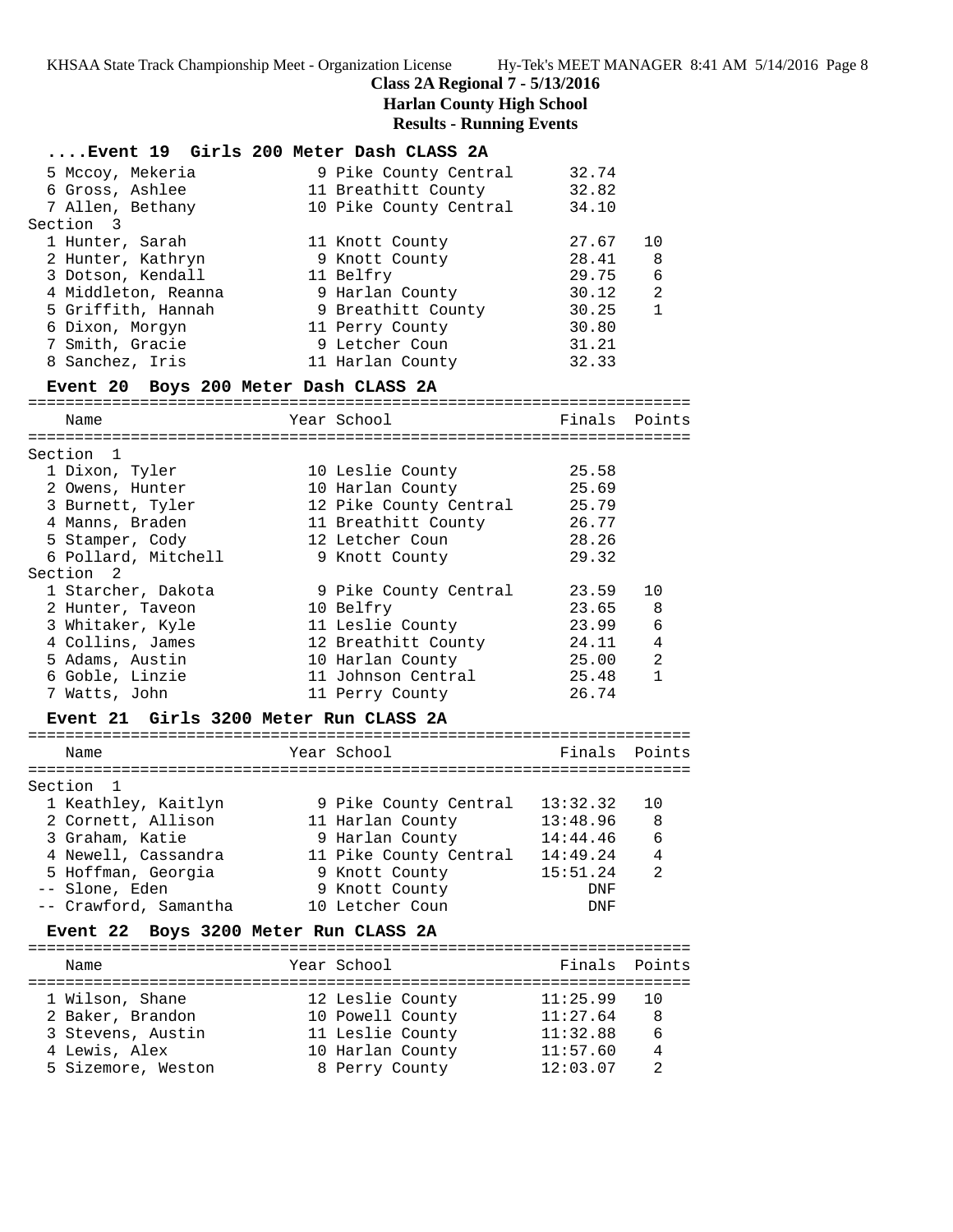## **Class 2A Regional 7 - 5/13/2016 Harlan County High School Results - Running Events**

| Event 19 Girls 200 Meter Dash CLASS 2A   |                        |          |                |
|------------------------------------------|------------------------|----------|----------------|
| 5 Mccoy, Mekeria                         | 9 Pike County Central  | 32.74    |                |
| 6 Gross, Ashlee                          | 11 Breathitt County    | 32.82    |                |
| 7 Allen, Bethany                         | 10 Pike County Central | 34.10    |                |
| Section 3                                |                        |          |                |
| 1 Hunter, Sarah                          | 11 Knott County        | 27.67    | 10             |
| 2 Hunter, Kathryn                        | 9 Knott County         | 28.41    | 8              |
| 3 Dotson, Kendall                        | 11 Belfry              | 29.75    | 6              |
| 4 Middleton, Reanna                      | 9 Harlan County        | 30.12    | $\overline{2}$ |
| 5 Griffith, Hannah                       | 9 Breathitt County     | 30.25    | $\mathbf{1}$   |
| 6 Dixon, Morgyn                          | 11 Perry County        | 30.80    |                |
| 7 Smith, Gracie                          | 9 Letcher Coun         | 31.21    |                |
| 8 Sanchez, Iris                          | 11 Harlan County       | 32.33    |                |
| Event 20 Boys 200 Meter Dash CLASS 2A    |                        |          |                |
| Name                                     | Year School            | Finals   | Points         |
|                                          |                        |          |                |
| Section 1                                |                        |          |                |
| 1 Dixon, Tyler                           | 10 Leslie County       | 25.58    |                |
| 2 Owens, Hunter                          | 10 Harlan County       | 25.69    |                |
| 3 Burnett, Tyler                         | 12 Pike County Central | 25.79    |                |
| 4 Manns, Braden                          | 11 Breathitt County    | 26.77    |                |
| 5 Stamper, Cody                          | 12 Letcher Coun        | 28.26    |                |
| 6 Pollard, Mitchell                      | 9 Knott County         | 29.32    |                |
| Section <sub>2</sub>                     |                        |          |                |
| 1 Starcher, Dakota                       | 9 Pike County Central  | 23.59    | 10             |
| 2 Hunter, Taveon                         | 10 Belfry              | 23.65    | 8              |
| 3 Whitaker, Kyle                         | 11 Leslie County       | 23.99    | 6              |
| 4 Collins, James                         | 12 Breathitt County    | 24.11    | 4              |
| 5 Adams, Austin                          | 10 Harlan County       | 25.00    | 2              |
| 6 Goble, Linzie                          | 11 Johnson Central     | 25.48    | $\mathbf{1}$   |
| 7 Watts, John                            | 11 Perry County        | 26.74    |                |
| Event 21 Girls 3200 Meter Run CLASS 2A   |                        |          |                |
| Name                                     | Year School            | Finals   | Points         |
|                                          |                        |          |                |
| Section 1                                |                        |          |                |
| 1 Keathley, Kaitlyn                      | 9 Pike County Central  | 13:32.32 | 10             |
| 2 Cornett, Allison                       | 11 Harlan County       | 13:48.96 | - 8            |
| 3 Graham, Katie                          | 9 Harlan County        | 14:44.46 | 6              |
| 4 Newell, Cassandra                      | 11 Pike County Central | 14:49.24 | 4              |
| 5 Hoffman, Georgia                       | 9 Knott County         | 15:51.24 | $\mathfrak{D}$ |
| -- Slone, Eden                           | 9 Knott County         | DNF      |                |
| -- Crawford, Samantha                    | 10 Letcher Coun        | DNF      |                |
|                                          |                        |          |                |
| Boys 3200 Meter Run CLASS 2A<br>Event 22 |                        |          |                |
| Name                                     | Year School            | Finals   | Points         |
| 1 Wilson, Shane                          | 12 Leslie County       | 11:25.99 | 10             |
| 2 Baker, Brandon                         | 10 Powell County       | 11:27.64 | 8              |
| 3 Stevens, Austin                        | 11 Leslie County       | 11:32.88 | 6              |
| 4 Lewis, Alex                            | 10 Harlan County       | 11:57.60 | 4              |
| 5 Sizemore, Weston                       | 8 Perry County         | 12:03.07 | $\overline{2}$ |
|                                          |                        |          |                |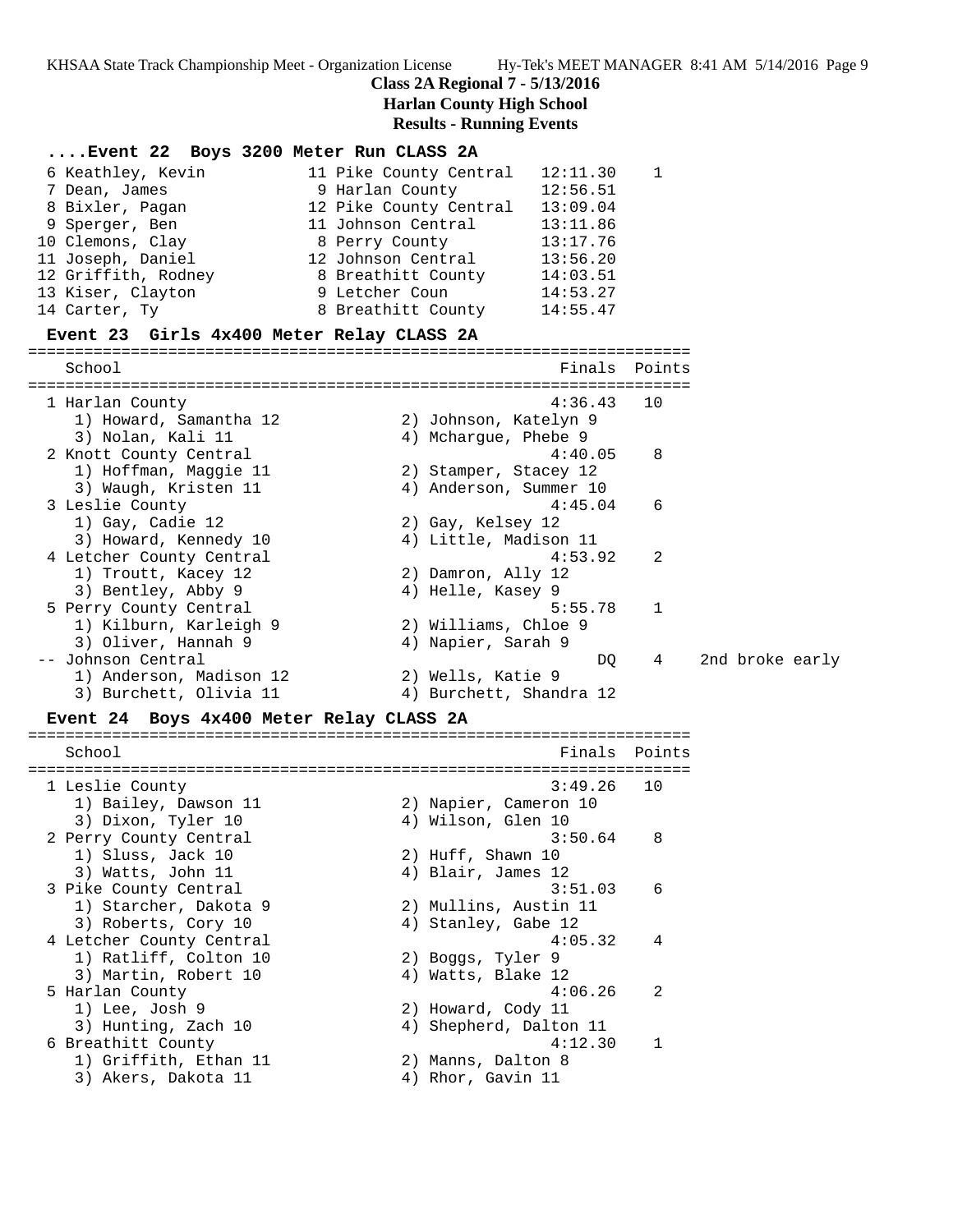# **Class 2A Regional 7 - 5/13/2016**

**Harlan County High School**

| Event 22 Boys 3200 Meter Run CLASS 2A           |                                    |        |                 |
|-------------------------------------------------|------------------------------------|--------|-----------------|
| 6 Keathley, Kevin                               | 12:11.30<br>11 Pike County Central | 1      |                 |
| 7 Dean, James                                   | 9 Harlan County<br>12:56.51        |        |                 |
| 8 Bixler, Pagan                                 | 12 Pike County Central<br>13:09.04 |        |                 |
| 9 Sperger, Ben                                  | 11 Johnson Central<br>13:11.86     |        |                 |
| 10 Clemons, Clay                                | 13:17.76<br>8 Perry County         |        |                 |
| 11 Joseph, Daniel                               | 12 Johnson Central<br>13:56.20     |        |                 |
| 12 Griffith, Rodney                             | 8 Breathitt County<br>14:03.51     |        |                 |
| 13 Kiser, Clayton                               | 9 Letcher Coun<br>14:53.27         |        |                 |
| 14 Carter, Ty                                   | 8 Breathitt County<br>14:55.47     |        |                 |
| Event 23 Girls 4x400 Meter Relay CLASS 2A       |                                    |        |                 |
| School                                          | Finals                             | Points |                 |
|                                                 |                                    |        |                 |
| 1 Harlan County                                 | 4:36.43                            | 10     |                 |
| 1) Howard, Samantha 12                          | 2) Johnson, Katelyn 9              |        |                 |
| 3) Nolan, Kali 11                               | 4) Mchargue, Phebe 9               |        |                 |
| 2 Knott County Central                          | 4:40.05                            | 8      |                 |
| 1) Hoffman, Maggie 11                           | 2) Stamper, Stacey 12              |        |                 |
| 3) Waugh, Kristen 11                            | 4) Anderson, Summer 10             |        |                 |
| 3 Leslie County                                 | 4:45.04                            | 6      |                 |
| 1) Gay, Cadie 12                                | 2) Gay, Kelsey 12                  |        |                 |
| 3) Howard, Kennedy 10                           | 4) Little, Madison 11<br>4:53.92   | 2      |                 |
| 4 Letcher County Central<br>1) Troutt, Kacey 12 | 2) Damron, Ally 12                 |        |                 |
| 3) Bentley, Abby 9                              | 4) Helle, Kasey 9                  |        |                 |
| 5 Perry County Central                          | 5:55.78                            | 1      |                 |
| 1) Kilburn, Karleigh 9                          | 2) Williams, Chloe 9               |        |                 |
| 3) Oliver, Hannah 9                             | 4) Napier, Sarah 9                 |        |                 |
| -- Johnson Central                              | DQ                                 | 4      | 2nd broke early |
| 1) Anderson, Madison 12                         | 2) Wells, Katie 9                  |        |                 |
| 3) Burchett, Olivia 11                          | 4) Burchett, Shandra 12            |        |                 |
| Event 24 Boys 4x400 Meter Relay CLASS 2A        |                                    |        |                 |
|                                                 |                                    |        |                 |
| School                                          | Finals                             | Points |                 |
| 1 Leslie County                                 | 3:49.26                            | 10     |                 |
| 1) Bailey, Dawson 11                            | 2) Napier, Cameron 10              |        |                 |
| 3) Dixon, Tyler 10                              | 4) Wilson, Glen 10                 |        |                 |
| 2 Perry County Central                          | 3:50.64                            | 8      |                 |
| 1) Sluss, Jack 10                               | 2) Huff, Shawn 10                  |        |                 |
| 3) Watts, John 11                               | 4) Blair, James 12                 |        |                 |
| 3 Pike County Central                           | 3:51.03                            | 6      |                 |
| 1) Starcher, Dakota 9                           | 2) Mullins, Austin 11              |        |                 |
| 3) Roberts, Cory 10                             | 4) Stanley, Gabe 12                |        |                 |
| 4 Letcher County Central                        | 4:05.32                            | 4      |                 |
| 1) Ratliff, Colton 10                           | 2) Boggs, Tyler 9                  |        |                 |
| 3) Martin, Robert 10                            | 4) Watts, Blake 12                 |        |                 |
| 5 Harlan County                                 | 4:06.26                            | 2      |                 |
| 1) Lee, Josh 9                                  | 2) Howard, Cody 11                 |        |                 |
| 3) Hunting, Zach 10                             | 4) Shepherd, Dalton 11             |        |                 |
| 6 Breathitt County                              | 4:12.30                            | 1      |                 |
| 1) Griffith, Ethan 11                           | 2) Manns, Dalton 8                 |        |                 |
| 3) Akers, Dakota 11                             | 4) Rhor, Gavin 11                  |        |                 |